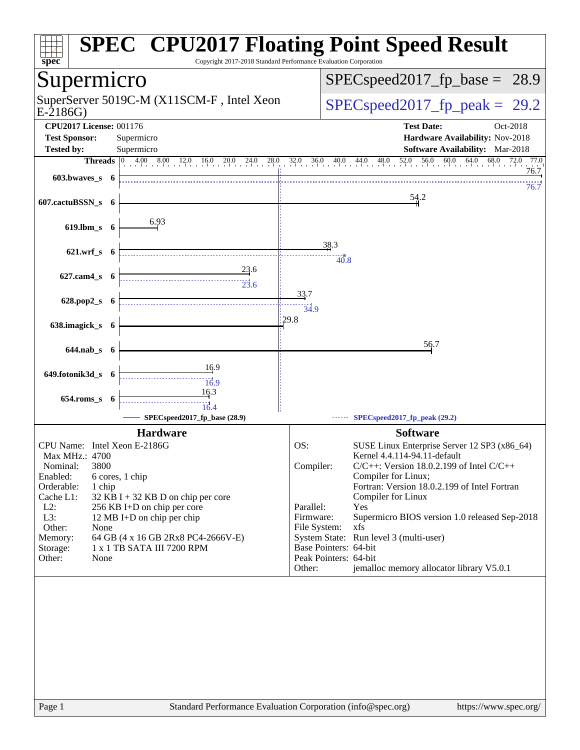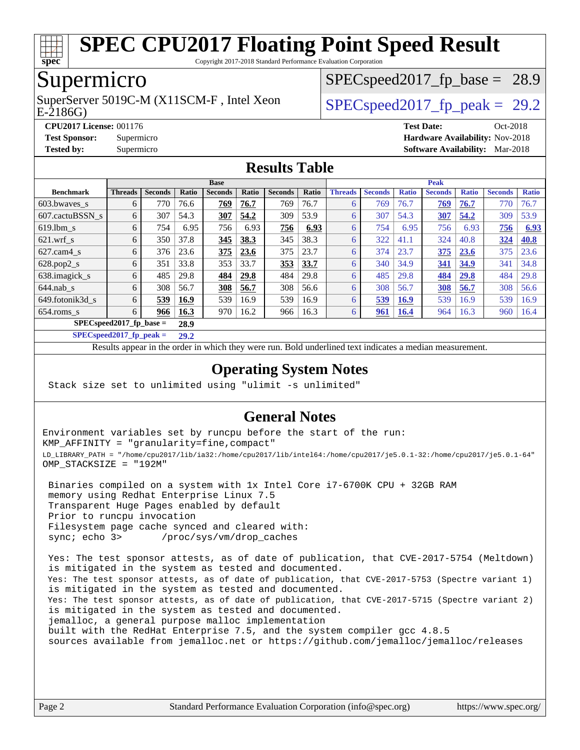

Copyright 2017-2018 Standard Performance Evaluation Corporation

## Supermicro

SuperServer 5019C-M (X11SCM-F, Intel Xeon<br>E-2186G)

 $SPECspeed2017_fp\_base = 28.9$ 

 $SPECspeed2017_fp\_peak = 29.2$ 

**[CPU2017 License:](http://www.spec.org/auto/cpu2017/Docs/result-fields.html#CPU2017License)** 001176 **[Test Date:](http://www.spec.org/auto/cpu2017/Docs/result-fields.html#TestDate)** Oct-2018 **[Test Sponsor:](http://www.spec.org/auto/cpu2017/Docs/result-fields.html#TestSponsor)** Supermicro **[Hardware Availability:](http://www.spec.org/auto/cpu2017/Docs/result-fields.html#HardwareAvailability)** Nov-2018 **[Tested by:](http://www.spec.org/auto/cpu2017/Docs/result-fields.html#Testedby)** Supermicro **[Software Availability:](http://www.spec.org/auto/cpu2017/Docs/result-fields.html#SoftwareAvailability)** Mar-2018

#### **[Results Table](http://www.spec.org/auto/cpu2017/Docs/result-fields.html#ResultsTable)**

|                                    | <b>Base</b>    |                |             |                |       |                |       |                | <b>Peak</b>    |              |                |              |                |              |  |
|------------------------------------|----------------|----------------|-------------|----------------|-------|----------------|-------|----------------|----------------|--------------|----------------|--------------|----------------|--------------|--|
| <b>Benchmark</b>                   | <b>Threads</b> | <b>Seconds</b> | Ratio       | <b>Seconds</b> | Ratio | <b>Seconds</b> | Ratio | <b>Threads</b> | <b>Seconds</b> | <b>Ratio</b> | <b>Seconds</b> | <b>Ratio</b> | <b>Seconds</b> | <b>Ratio</b> |  |
| $603.bwaves$ s                     | 6              | 770            | 76.6        | 769            | 76.7  | 769            | 76.7  |                | 769            | 76.7         | 769            | 76.7         | 770            | 76.7         |  |
| 607.cactuBSSN s                    | 6              | 307            | 54.3        | 307            | 54.2  | 309            | 53.9  | 6              | 307            | 54.3         | 307            | 54.2         | 309            | 53.9         |  |
| $619.1$ bm s                       | 6              | 754            | 6.95        | 756            | 6.93  | 756            | 6.93  | 6              | 754            | 6.95         | 756            | 6.93         | 756            | 6.93         |  |
| $621$ .wrf s                       | 6              | 350            | 37.8        | 345            | 38.3  | 345            | 38.3  | 6              | 322            | 41.1         | 324            | 40.8         | 324            | 40.8         |  |
| $627$ .cam $4$ <sub>s</sub>        | 6              | 376            | 23.6        | 375            | 23.6  | 375            | 23.7  | 6              | 374            | 23.7         | 375            | 23.6         | 375            | 23.6         |  |
| $628.pop2_s$                       | 6              | 351            | 33.8        | 353            | 33.7  | 353            | 33.7  | 6              | 340            | 34.9         | 341            | 34.9         | 341            | 34.8         |  |
| 638.imagick_s                      | 6              | 485            | 29.8        | 484            | 29.8  | 484            | 29.8  | 6              | 485            | 29.8         | 484            | 29.8         | 484            | 29.8         |  |
| $644$ .nab s                       | 6              | 308            | 56.7        | 308            | 56.7  | 308            | 56.6  | 6              | 308            | 56.7         | 308            | 56.7         | 308            | 56.6         |  |
| 649.fotonik3d s                    | 6              | 539            | 16.9        | 539            | 16.9  | 539            | 16.9  | 6              | 539            | <b>16.9</b>  | 539            | 16.9         | 539            | 16.9         |  |
| $654$ .roms s                      | 6              | 966            | <b>16.3</b> | 970            | 16.2  | 966            | 16.3  | 6              | 961            | <b>16.4</b>  | 964            | 16.3         | 960            | 16.4         |  |
| $SPEC speed2017$ fp base =<br>28.9 |                |                |             |                |       |                |       |                |                |              |                |              |                |              |  |

**[SPECspeed2017\\_fp\\_peak =](http://www.spec.org/auto/cpu2017/Docs/result-fields.html#SPECspeed2017fppeak) 29.2**

Results appear in the [order in which they were run.](http://www.spec.org/auto/cpu2017/Docs/result-fields.html#RunOrder) Bold underlined text [indicates a median measurement](http://www.spec.org/auto/cpu2017/Docs/result-fields.html#Median).

#### **[Operating System Notes](http://www.spec.org/auto/cpu2017/Docs/result-fields.html#OperatingSystemNotes)**

Stack size set to unlimited using "ulimit -s unlimited"

#### **[General Notes](http://www.spec.org/auto/cpu2017/Docs/result-fields.html#GeneralNotes)**

Environment variables set by runcpu before the start of the run: KMP\_AFFINITY = "granularity=fine,compact" LD\_LIBRARY\_PATH = "/home/cpu2017/lib/ia32:/home/cpu2017/lib/intel64:/home/cpu2017/je5.0.1-32:/home/cpu2017/je5.0.1-64" OMP\_STACKSIZE = "192M"

 Binaries compiled on a system with 1x Intel Core i7-6700K CPU + 32GB RAM memory using Redhat Enterprise Linux 7.5 Transparent Huge Pages enabled by default Prior to runcpu invocation Filesystem page cache synced and cleared with: sync; echo 3> /proc/sys/vm/drop\_caches

 Yes: The test sponsor attests, as of date of publication, that CVE-2017-5754 (Meltdown) is mitigated in the system as tested and documented. Yes: The test sponsor attests, as of date of publication, that CVE-2017-5753 (Spectre variant 1) is mitigated in the system as tested and documented. Yes: The test sponsor attests, as of date of publication, that CVE-2017-5715 (Spectre variant 2) is mitigated in the system as tested and documented. jemalloc, a general purpose malloc implementation built with the RedHat Enterprise 7.5, and the system compiler gcc 4.8.5 sources available from jemalloc.net or <https://github.com/jemalloc/jemalloc/releases>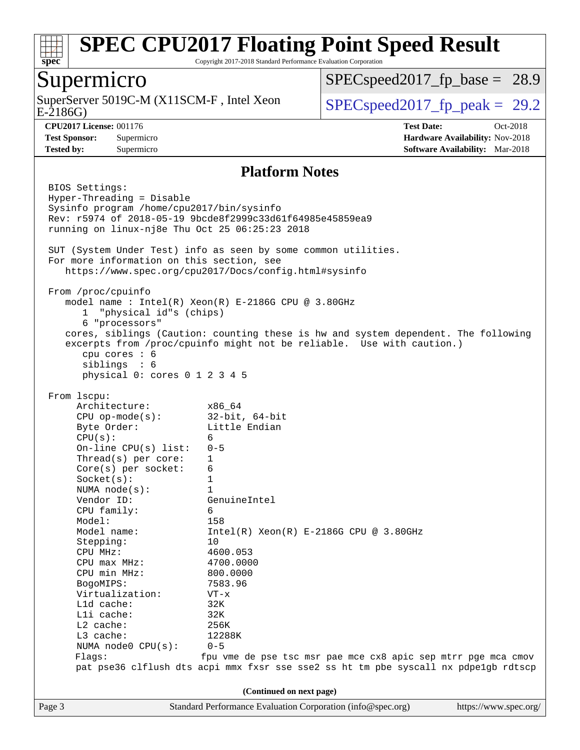

Copyright 2017-2018 Standard Performance Evaluation Corporation

#### Supermicro

E-2186G) SuperServer 5019C-M (X11SCM-F, Intel Xeon  $SPEC speed2017_fp\_peak = 29.2$ 

 $SPECspeed2017_fp\_base = 28.9$ 

**[Tested by:](http://www.spec.org/auto/cpu2017/Docs/result-fields.html#Testedby)** Supermicro **[Software Availability:](http://www.spec.org/auto/cpu2017/Docs/result-fields.html#SoftwareAvailability)** Mar-2018

**[CPU2017 License:](http://www.spec.org/auto/cpu2017/Docs/result-fields.html#CPU2017License)** 001176 **[Test Date:](http://www.spec.org/auto/cpu2017/Docs/result-fields.html#TestDate)** Oct-2018 **[Test Sponsor:](http://www.spec.org/auto/cpu2017/Docs/result-fields.html#TestSponsor)** Supermicro **[Hardware Availability:](http://www.spec.org/auto/cpu2017/Docs/result-fields.html#HardwareAvailability)** Nov-2018

#### **[Platform Notes](http://www.spec.org/auto/cpu2017/Docs/result-fields.html#PlatformNotes)**

Page 3 Standard Performance Evaluation Corporation [\(info@spec.org\)](mailto:info@spec.org) <https://www.spec.org/> BIOS Settings: Hyper-Threading = Disable Sysinfo program /home/cpu2017/bin/sysinfo Rev: r5974 of 2018-05-19 9bcde8f2999c33d61f64985e45859ea9 running on linux-nj8e Thu Oct 25 06:25:23 2018 SUT (System Under Test) info as seen by some common utilities. For more information on this section, see <https://www.spec.org/cpu2017/Docs/config.html#sysinfo> From /proc/cpuinfo model name : Intel(R) Xeon(R) E-2186G CPU @ 3.80GHz 1 "physical id"s (chips) 6 "processors" cores, siblings (Caution: counting these is hw and system dependent. The following excerpts from /proc/cpuinfo might not be reliable. Use with caution.) cpu cores : 6 siblings : 6 physical 0: cores 0 1 2 3 4 5 From lscpu: Architecture: x86\_64 CPU op-mode(s): 32-bit, 64-bit Byte Order: Little Endian  $CPU(s):$  6 On-line CPU(s) list: 0-5 Thread(s) per core: 1 Core(s) per socket: 6 Socket(s): 1 NUMA node(s): 1 Vendor ID: GenuineIntel CPU family: 6 Model: 158 Model name:  $Intel(R)$  Xeon(R) E-2186G CPU @ 3.80GHz Stepping: 10 CPU MHz: 4600.053 CPU max MHz: 4700.0000 CPU min MHz: 800.0000 BogoMIPS: 7583.96 Virtualization: VT-x L1d cache: 32K L1i cache: 32K L2 cache: 256K L3 cache: 12288K NUMA node0 CPU(s): 0-5 Flags: fpu vme de pse tsc msr pae mce cx8 apic sep mtrr pge mca cmov pat pse36 clflush dts acpi mmx fxsr sse sse2 ss ht tm pbe syscall nx pdpe1gb rdtscp **(Continued on next page)**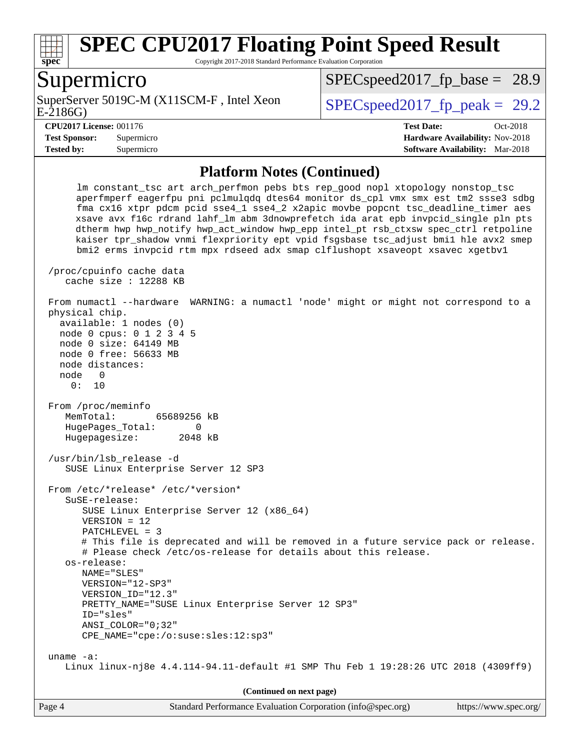

Copyright 2017-2018 Standard Performance Evaluation Corporation

#### Supermicro

E-2186G) SuperServer 5019C-M (X11SCM-F, Intel Xeon  $SPEC speed2017$  fp\_peak = 29.2

 $SPECspeed2017_fp\_base = 28.9$ 

**[Tested by:](http://www.spec.org/auto/cpu2017/Docs/result-fields.html#Testedby)** Supermicro **[Software Availability:](http://www.spec.org/auto/cpu2017/Docs/result-fields.html#SoftwareAvailability)** Mar-2018

**[CPU2017 License:](http://www.spec.org/auto/cpu2017/Docs/result-fields.html#CPU2017License)** 001176 **[Test Date:](http://www.spec.org/auto/cpu2017/Docs/result-fields.html#TestDate)** Oct-2018 **[Test Sponsor:](http://www.spec.org/auto/cpu2017/Docs/result-fields.html#TestSponsor)** Supermicro **[Hardware Availability:](http://www.spec.org/auto/cpu2017/Docs/result-fields.html#HardwareAvailability)** Nov-2018

#### **[Platform Notes \(Continued\)](http://www.spec.org/auto/cpu2017/Docs/result-fields.html#PlatformNotes)**

 lm constant\_tsc art arch\_perfmon pebs bts rep\_good nopl xtopology nonstop\_tsc aperfmperf eagerfpu pni pclmulqdq dtes64 monitor ds\_cpl vmx smx est tm2 ssse3 sdbg fma cx16 xtpr pdcm pcid sse4\_1 sse4\_2 x2apic movbe popcnt tsc\_deadline\_timer aes xsave avx f16c rdrand lahf\_lm abm 3dnowprefetch ida arat epb invpcid\_single pln pts dtherm hwp hwp\_notify hwp\_act\_window hwp\_epp intel\_pt rsb\_ctxsw spec\_ctrl retpoline kaiser tpr\_shadow vnmi flexpriority ept vpid fsgsbase tsc\_adjust bmi1 hle avx2 smep bmi2 erms invpcid rtm mpx rdseed adx smap clflushopt xsaveopt xsavec xgetbv1 /proc/cpuinfo cache data cache size : 12288 KB From numactl --hardware WARNING: a numactl 'node' might or might not correspond to a physical chip. available: 1 nodes (0) node 0 cpus: 0 1 2 3 4 5 node 0 size: 64149 MB node 0 free: 56633 MB node distances: node 0 0: 10 From /proc/meminfo MemTotal: 65689256 kB HugePages Total: 0 Hugepagesize: 2048 kB /usr/bin/lsb\_release -d SUSE Linux Enterprise Server 12 SP3 From /etc/\*release\* /etc/\*version\* SuSE-release: SUSE Linux Enterprise Server 12 (x86\_64) VERSION = 12 PATCHLEVEL = 3 # This file is deprecated and will be removed in a future service pack or release. # Please check /etc/os-release for details about this release. os-release: NAME="SLES" VERSION="12-SP3" VERSION\_ID="12.3" PRETTY\_NAME="SUSE Linux Enterprise Server 12 SP3" ID="sles" ANSI\_COLOR="0;32" CPE\_NAME="cpe:/o:suse:sles:12:sp3" uname -a: Linux linux-nj8e 4.4.114-94.11-default #1 SMP Thu Feb 1 19:28:26 UTC 2018 (4309ff9) **(Continued on next page)**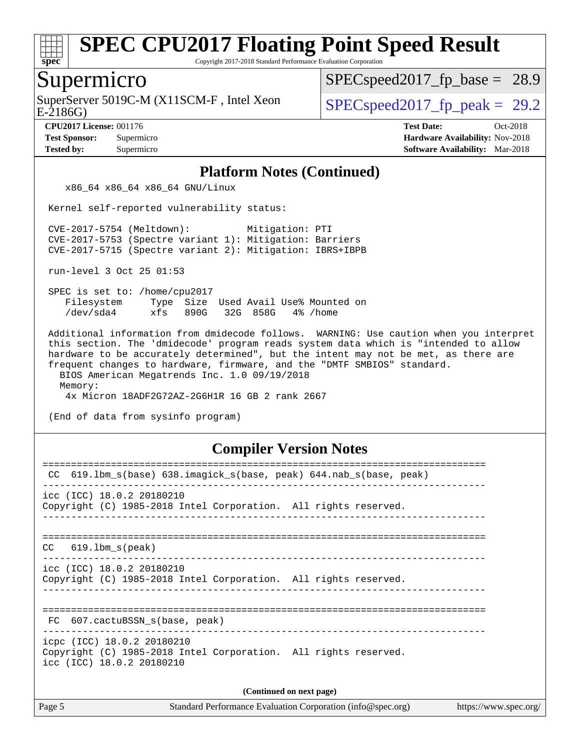

Copyright 2017-2018 Standard Performance Evaluation Corporation

#### Supermicro

E-2186G) SuperServer 5019C-M (X11SCM-F, Intel Xeon  $SPEC speed2017_fp\_peak = 29.2$ 

 $SPECspeed2017_fp\_base = 28.9$ 

**[CPU2017 License:](http://www.spec.org/auto/cpu2017/Docs/result-fields.html#CPU2017License)** 001176 **[Test Date:](http://www.spec.org/auto/cpu2017/Docs/result-fields.html#TestDate)** Oct-2018 **[Test Sponsor:](http://www.spec.org/auto/cpu2017/Docs/result-fields.html#TestSponsor)** Supermicro **[Hardware Availability:](http://www.spec.org/auto/cpu2017/Docs/result-fields.html#HardwareAvailability)** Nov-2018 **[Tested by:](http://www.spec.org/auto/cpu2017/Docs/result-fields.html#Testedby)** Supermicro **[Software Availability:](http://www.spec.org/auto/cpu2017/Docs/result-fields.html#SoftwareAvailability)** Mar-2018

#### **[Platform Notes \(Continued\)](http://www.spec.org/auto/cpu2017/Docs/result-fields.html#PlatformNotes)**

x86\_64 x86\_64 x86\_64 GNU/Linux

Kernel self-reported vulnerability status:

 CVE-2017-5754 (Meltdown): Mitigation: PTI CVE-2017-5753 (Spectre variant 1): Mitigation: Barriers CVE-2017-5715 (Spectre variant 2): Mitigation: IBRS+IBPB

run-level 3 Oct 25 01:53

 SPEC is set to: /home/cpu2017 Filesystem Type Size Used Avail Use% Mounted on /dev/sda4 xfs 890G 32G 858G 4% /home

 Additional information from dmidecode follows. WARNING: Use caution when you interpret this section. The 'dmidecode' program reads system data which is "intended to allow hardware to be accurately determined", but the intent may not be met, as there are frequent changes to hardware, firmware, and the "DMTF SMBIOS" standard. BIOS American Megatrends Inc. 1.0 09/19/2018

 Memory: 4x Micron 18ADF2G72AZ-2G6H1R 16 GB 2 rank 2667

(End of data from sysinfo program)

#### **[Compiler Version Notes](http://www.spec.org/auto/cpu2017/Docs/result-fields.html#CompilerVersionNotes)**

| CC 619.1bm_s(base) 638.imagick_s(base, peak) 644.nab_s(base, peak)                                                         |  |  |  |  |  |
|----------------------------------------------------------------------------------------------------------------------------|--|--|--|--|--|
| $\text{icc}$ (ICC) 18.0.2 20180210<br>Copyright (C) 1985-2018 Intel Corporation. All rights reserved.                      |  |  |  |  |  |
| $CC$ 619.1bm $s$ (peak)                                                                                                    |  |  |  |  |  |
| icc (ICC) 18.0.2 20180210<br>Copyright (C) 1985-2018 Intel Corporation. All rights reserved.                               |  |  |  |  |  |
| FC 607.cactuBSSN s(base, peak)                                                                                             |  |  |  |  |  |
| icpc (ICC) 18.0.2 20180210<br>Copyright (C) 1985-2018 Intel Corporation. All rights reserved.<br>icc (ICC) 18.0.2 20180210 |  |  |  |  |  |
| (Continued on next page)                                                                                                   |  |  |  |  |  |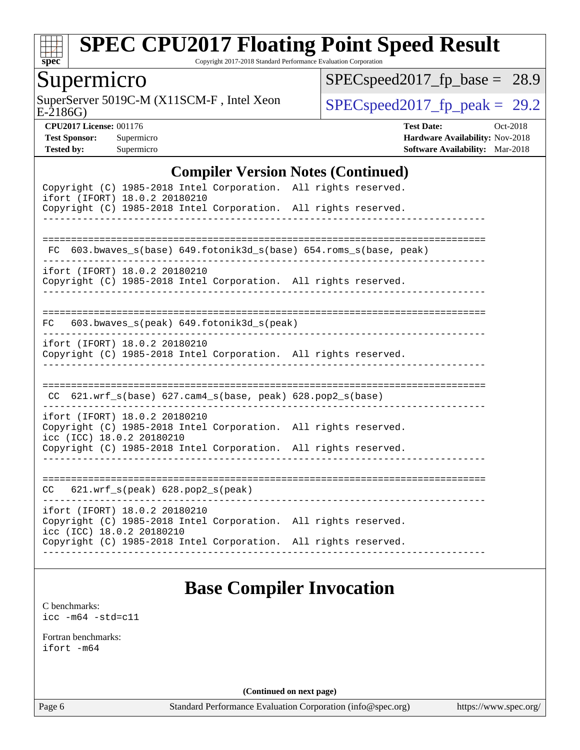

Copyright 2017-2018 Standard Performance Evaluation Corporation

### Supermicro

E-2186G) SuperServer 5019C-M (X11SCM-F, Intel Xeon  $SPEC speed2017_fp\_peak = 29.2$ 

[SPECspeed2017\\_fp\\_base =](http://www.spec.org/auto/cpu2017/Docs/result-fields.html#SPECspeed2017fpbase) 28.9

**[CPU2017 License:](http://www.spec.org/auto/cpu2017/Docs/result-fields.html#CPU2017License)** 001176 **[Test Date:](http://www.spec.org/auto/cpu2017/Docs/result-fields.html#TestDate)** Oct-2018 **[Test Sponsor:](http://www.spec.org/auto/cpu2017/Docs/result-fields.html#TestSponsor)** Supermicro **[Hardware Availability:](http://www.spec.org/auto/cpu2017/Docs/result-fields.html#HardwareAvailability)** Nov-2018 **[Tested by:](http://www.spec.org/auto/cpu2017/Docs/result-fields.html#Testedby)** Supermicro **[Software Availability:](http://www.spec.org/auto/cpu2017/Docs/result-fields.html#SoftwareAvailability)** Mar-2018

#### **[Compiler Version Notes \(Continued\)](http://www.spec.org/auto/cpu2017/Docs/result-fields.html#CompilerVersionNotes)**

| Copyright (C) 1985-2018 Intel Corporation. All rights reserved.<br>ifort (IFORT) 18.0.2 20180210<br>Copyright (C) 1985-2018 Intel Corporation. All rights reserved.                              |  |
|--------------------------------------------------------------------------------------------------------------------------------------------------------------------------------------------------|--|
| FC 603.bwaves_s(base) 649.fotonik3d_s(base) 654.roms_s(base, peak)                                                                                                                               |  |
| ifort (IFORT) 18.0.2 20180210<br>Copyright (C) 1985-2018 Intel Corporation. All rights reserved.                                                                                                 |  |
| 603.bwaves_s(peak) 649.fotonik3d_s(peak)<br>FC                                                                                                                                                   |  |
| ifort (IFORT) 18.0.2 20180210<br>Copyright (C) 1985-2018 Intel Corporation. All rights reserved.                                                                                                 |  |
| CC 621.wrf_s(base) 627.cam4_s(base, peak) 628.pop2_s(base)                                                                                                                                       |  |
| ifort (IFORT) 18.0.2 20180210<br>Copyright (C) 1985-2018 Intel Corporation. All rights reserved.<br>icc (ICC) 18.0.2 20180210                                                                    |  |
| Copyright (C) 1985-2018 Intel Corporation. All rights reserved.                                                                                                                                  |  |
| 621.wrf_s(peak) 628.pop2_s(peak)<br>CC                                                                                                                                                           |  |
| ifort (IFORT) 18.0.2 20180210<br>Copyright (C) 1985-2018 Intel Corporation. All rights reserved.<br>icc (ICC) 18.0.2 20180210<br>Copyright (C) 1985-2018 Intel Corporation. All rights reserved. |  |
|                                                                                                                                                                                                  |  |

## **[Base Compiler Invocation](http://www.spec.org/auto/cpu2017/Docs/result-fields.html#BaseCompilerInvocation)**

[C benchmarks](http://www.spec.org/auto/cpu2017/Docs/result-fields.html#Cbenchmarks): [icc -m64 -std=c11](http://www.spec.org/cpu2017/results/res2018q4/cpu2017-20181112-09602.flags.html#user_CCbase_intel_icc_64bit_c11_33ee0cdaae7deeeab2a9725423ba97205ce30f63b9926c2519791662299b76a0318f32ddfffdc46587804de3178b4f9328c46fa7c2b0cd779d7a61945c91cd35)

[Fortran benchmarks](http://www.spec.org/auto/cpu2017/Docs/result-fields.html#Fortranbenchmarks): [ifort -m64](http://www.spec.org/cpu2017/results/res2018q4/cpu2017-20181112-09602.flags.html#user_FCbase_intel_ifort_64bit_24f2bb282fbaeffd6157abe4f878425411749daecae9a33200eee2bee2fe76f3b89351d69a8130dd5949958ce389cf37ff59a95e7a40d588e8d3a57e0c3fd751)

**(Continued on next page)**

Page 6 Standard Performance Evaluation Corporation [\(info@spec.org\)](mailto:info@spec.org) <https://www.spec.org/>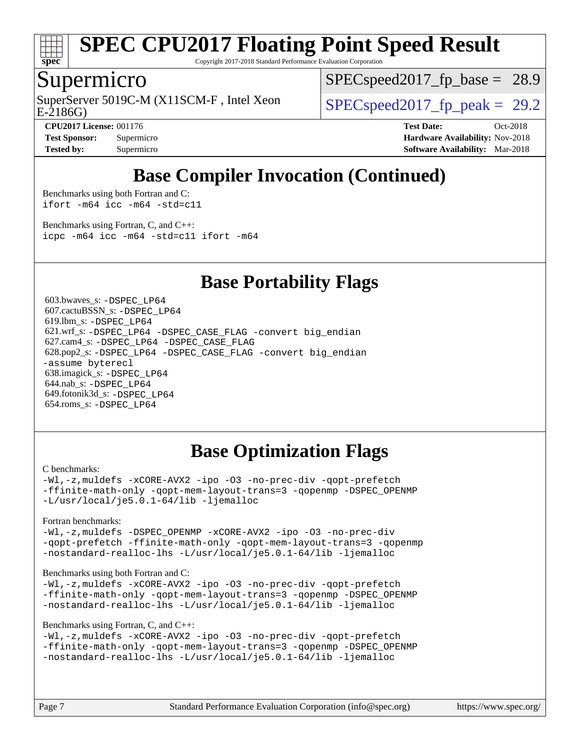

Copyright 2017-2018 Standard Performance Evaluation Corporation

#### Supermicro

E-2186G) SuperServer 5019C-M (X11SCM-F, Intel Xeon  $SPEC speed2017$  fp\_peak = 29.2

 $SPECspeed2017_fp\_base = 28.9$ 

**[CPU2017 License:](http://www.spec.org/auto/cpu2017/Docs/result-fields.html#CPU2017License)** 001176 **[Test Date:](http://www.spec.org/auto/cpu2017/Docs/result-fields.html#TestDate)** Oct-2018 **[Test Sponsor:](http://www.spec.org/auto/cpu2017/Docs/result-fields.html#TestSponsor)** Supermicro **[Hardware Availability:](http://www.spec.org/auto/cpu2017/Docs/result-fields.html#HardwareAvailability)** Nov-2018 **[Tested by:](http://www.spec.org/auto/cpu2017/Docs/result-fields.html#Testedby)** Supermicro **[Software Availability:](http://www.spec.org/auto/cpu2017/Docs/result-fields.html#SoftwareAvailability)** Mar-2018

## **[Base Compiler Invocation \(Continued\)](http://www.spec.org/auto/cpu2017/Docs/result-fields.html#BaseCompilerInvocation)**

[Benchmarks using both Fortran and C](http://www.spec.org/auto/cpu2017/Docs/result-fields.html#BenchmarksusingbothFortranandC): [ifort -m64](http://www.spec.org/cpu2017/results/res2018q4/cpu2017-20181112-09602.flags.html#user_CC_FCbase_intel_ifort_64bit_24f2bb282fbaeffd6157abe4f878425411749daecae9a33200eee2bee2fe76f3b89351d69a8130dd5949958ce389cf37ff59a95e7a40d588e8d3a57e0c3fd751) [icc -m64 -std=c11](http://www.spec.org/cpu2017/results/res2018q4/cpu2017-20181112-09602.flags.html#user_CC_FCbase_intel_icc_64bit_c11_33ee0cdaae7deeeab2a9725423ba97205ce30f63b9926c2519791662299b76a0318f32ddfffdc46587804de3178b4f9328c46fa7c2b0cd779d7a61945c91cd35)

[Benchmarks using Fortran, C, and C++:](http://www.spec.org/auto/cpu2017/Docs/result-fields.html#BenchmarksusingFortranCandCXX) [icpc -m64](http://www.spec.org/cpu2017/results/res2018q4/cpu2017-20181112-09602.flags.html#user_CC_CXX_FCbase_intel_icpc_64bit_4ecb2543ae3f1412ef961e0650ca070fec7b7afdcd6ed48761b84423119d1bf6bdf5cad15b44d48e7256388bc77273b966e5eb805aefd121eb22e9299b2ec9d9) [icc -m64 -std=c11](http://www.spec.org/cpu2017/results/res2018q4/cpu2017-20181112-09602.flags.html#user_CC_CXX_FCbase_intel_icc_64bit_c11_33ee0cdaae7deeeab2a9725423ba97205ce30f63b9926c2519791662299b76a0318f32ddfffdc46587804de3178b4f9328c46fa7c2b0cd779d7a61945c91cd35) [ifort -m64](http://www.spec.org/cpu2017/results/res2018q4/cpu2017-20181112-09602.flags.html#user_CC_CXX_FCbase_intel_ifort_64bit_24f2bb282fbaeffd6157abe4f878425411749daecae9a33200eee2bee2fe76f3b89351d69a8130dd5949958ce389cf37ff59a95e7a40d588e8d3a57e0c3fd751)

#### **[Base Portability Flags](http://www.spec.org/auto/cpu2017/Docs/result-fields.html#BasePortabilityFlags)**

 603.bwaves\_s: [-DSPEC\\_LP64](http://www.spec.org/cpu2017/results/res2018q4/cpu2017-20181112-09602.flags.html#suite_basePORTABILITY603_bwaves_s_DSPEC_LP64) 607.cactuBSSN\_s: [-DSPEC\\_LP64](http://www.spec.org/cpu2017/results/res2018q4/cpu2017-20181112-09602.flags.html#suite_basePORTABILITY607_cactuBSSN_s_DSPEC_LP64) 619.lbm\_s: [-DSPEC\\_LP64](http://www.spec.org/cpu2017/results/res2018q4/cpu2017-20181112-09602.flags.html#suite_basePORTABILITY619_lbm_s_DSPEC_LP64) 621.wrf\_s: [-DSPEC\\_LP64](http://www.spec.org/cpu2017/results/res2018q4/cpu2017-20181112-09602.flags.html#suite_basePORTABILITY621_wrf_s_DSPEC_LP64) [-DSPEC\\_CASE\\_FLAG](http://www.spec.org/cpu2017/results/res2018q4/cpu2017-20181112-09602.flags.html#b621.wrf_s_baseCPORTABILITY_DSPEC_CASE_FLAG) [-convert big\\_endian](http://www.spec.org/cpu2017/results/res2018q4/cpu2017-20181112-09602.flags.html#user_baseFPORTABILITY621_wrf_s_convert_big_endian_c3194028bc08c63ac5d04de18c48ce6d347e4e562e8892b8bdbdc0214820426deb8554edfa529a3fb25a586e65a3d812c835984020483e7e73212c4d31a38223) 627.cam4\_s: [-DSPEC\\_LP64](http://www.spec.org/cpu2017/results/res2018q4/cpu2017-20181112-09602.flags.html#suite_basePORTABILITY627_cam4_s_DSPEC_LP64) [-DSPEC\\_CASE\\_FLAG](http://www.spec.org/cpu2017/results/res2018q4/cpu2017-20181112-09602.flags.html#b627.cam4_s_baseCPORTABILITY_DSPEC_CASE_FLAG) 628.pop2\_s: [-DSPEC\\_LP64](http://www.spec.org/cpu2017/results/res2018q4/cpu2017-20181112-09602.flags.html#suite_basePORTABILITY628_pop2_s_DSPEC_LP64) [-DSPEC\\_CASE\\_FLAG](http://www.spec.org/cpu2017/results/res2018q4/cpu2017-20181112-09602.flags.html#b628.pop2_s_baseCPORTABILITY_DSPEC_CASE_FLAG) [-convert big\\_endian](http://www.spec.org/cpu2017/results/res2018q4/cpu2017-20181112-09602.flags.html#user_baseFPORTABILITY628_pop2_s_convert_big_endian_c3194028bc08c63ac5d04de18c48ce6d347e4e562e8892b8bdbdc0214820426deb8554edfa529a3fb25a586e65a3d812c835984020483e7e73212c4d31a38223) [-assume byterecl](http://www.spec.org/cpu2017/results/res2018q4/cpu2017-20181112-09602.flags.html#user_baseFPORTABILITY628_pop2_s_assume_byterecl_7e47d18b9513cf18525430bbf0f2177aa9bf368bc7a059c09b2c06a34b53bd3447c950d3f8d6c70e3faf3a05c8557d66a5798b567902e8849adc142926523472) 638.imagick\_s: [-DSPEC\\_LP64](http://www.spec.org/cpu2017/results/res2018q4/cpu2017-20181112-09602.flags.html#suite_basePORTABILITY638_imagick_s_DSPEC_LP64) 644.nab\_s: [-DSPEC\\_LP64](http://www.spec.org/cpu2017/results/res2018q4/cpu2017-20181112-09602.flags.html#suite_basePORTABILITY644_nab_s_DSPEC_LP64) 649.fotonik3d\_s: [-DSPEC\\_LP64](http://www.spec.org/cpu2017/results/res2018q4/cpu2017-20181112-09602.flags.html#suite_basePORTABILITY649_fotonik3d_s_DSPEC_LP64) 654.roms\_s: [-DSPEC\\_LP64](http://www.spec.org/cpu2017/results/res2018q4/cpu2017-20181112-09602.flags.html#suite_basePORTABILITY654_roms_s_DSPEC_LP64)

## **[Base Optimization Flags](http://www.spec.org/auto/cpu2017/Docs/result-fields.html#BaseOptimizationFlags)**

#### [C benchmarks](http://www.spec.org/auto/cpu2017/Docs/result-fields.html#Cbenchmarks):

[-Wl,-z,muldefs](http://www.spec.org/cpu2017/results/res2018q4/cpu2017-20181112-09602.flags.html#user_CCbase_link_force_multiple1_b4cbdb97b34bdee9ceefcfe54f4c8ea74255f0b02a4b23e853cdb0e18eb4525ac79b5a88067c842dd0ee6996c24547a27a4b99331201badda8798ef8a743f577) [-xCORE-AVX2](http://www.spec.org/cpu2017/results/res2018q4/cpu2017-20181112-09602.flags.html#user_CCbase_f-xCORE-AVX2) [-ipo](http://www.spec.org/cpu2017/results/res2018q4/cpu2017-20181112-09602.flags.html#user_CCbase_f-ipo) [-O3](http://www.spec.org/cpu2017/results/res2018q4/cpu2017-20181112-09602.flags.html#user_CCbase_f-O3) [-no-prec-div](http://www.spec.org/cpu2017/results/res2018q4/cpu2017-20181112-09602.flags.html#user_CCbase_f-no-prec-div) [-qopt-prefetch](http://www.spec.org/cpu2017/results/res2018q4/cpu2017-20181112-09602.flags.html#user_CCbase_f-qopt-prefetch) [-ffinite-math-only](http://www.spec.org/cpu2017/results/res2018q4/cpu2017-20181112-09602.flags.html#user_CCbase_f_finite_math_only_cb91587bd2077682c4b38af759c288ed7c732db004271a9512da14a4f8007909a5f1427ecbf1a0fb78ff2a814402c6114ac565ca162485bbcae155b5e4258871) [-qopt-mem-layout-trans=3](http://www.spec.org/cpu2017/results/res2018q4/cpu2017-20181112-09602.flags.html#user_CCbase_f-qopt-mem-layout-trans_de80db37974c74b1f0e20d883f0b675c88c3b01e9d123adea9b28688d64333345fb62bc4a798493513fdb68f60282f9a726aa07f478b2f7113531aecce732043) [-qopenmp](http://www.spec.org/cpu2017/results/res2018q4/cpu2017-20181112-09602.flags.html#user_CCbase_qopenmp_16be0c44f24f464004c6784a7acb94aca937f053568ce72f94b139a11c7c168634a55f6653758ddd83bcf7b8463e8028bb0b48b77bcddc6b78d5d95bb1df2967) [-DSPEC\\_OPENMP](http://www.spec.org/cpu2017/results/res2018q4/cpu2017-20181112-09602.flags.html#suite_CCbase_DSPEC_OPENMP) [-L/usr/local/je5.0.1-64/lib](http://www.spec.org/cpu2017/results/res2018q4/cpu2017-20181112-09602.flags.html#user_CCbase_jemalloc_link_path64_4b10a636b7bce113509b17f3bd0d6226c5fb2346b9178c2d0232c14f04ab830f976640479e5c33dc2bcbbdad86ecfb6634cbbd4418746f06f368b512fced5394) [-ljemalloc](http://www.spec.org/cpu2017/results/res2018q4/cpu2017-20181112-09602.flags.html#user_CCbase_jemalloc_link_lib_d1249b907c500fa1c0672f44f562e3d0f79738ae9e3c4a9c376d49f265a04b9c99b167ecedbf6711b3085be911c67ff61f150a17b3472be731631ba4d0471706)

[Fortran benchmarks](http://www.spec.org/auto/cpu2017/Docs/result-fields.html#Fortranbenchmarks):

[-Wl,-z,muldefs](http://www.spec.org/cpu2017/results/res2018q4/cpu2017-20181112-09602.flags.html#user_FCbase_link_force_multiple1_b4cbdb97b34bdee9ceefcfe54f4c8ea74255f0b02a4b23e853cdb0e18eb4525ac79b5a88067c842dd0ee6996c24547a27a4b99331201badda8798ef8a743f577) [-DSPEC\\_OPENMP](http://www.spec.org/cpu2017/results/res2018q4/cpu2017-20181112-09602.flags.html#suite_FCbase_DSPEC_OPENMP) [-xCORE-AVX2](http://www.spec.org/cpu2017/results/res2018q4/cpu2017-20181112-09602.flags.html#user_FCbase_f-xCORE-AVX2) [-ipo](http://www.spec.org/cpu2017/results/res2018q4/cpu2017-20181112-09602.flags.html#user_FCbase_f-ipo) [-O3](http://www.spec.org/cpu2017/results/res2018q4/cpu2017-20181112-09602.flags.html#user_FCbase_f-O3) [-no-prec-div](http://www.spec.org/cpu2017/results/res2018q4/cpu2017-20181112-09602.flags.html#user_FCbase_f-no-prec-div) [-qopt-prefetch](http://www.spec.org/cpu2017/results/res2018q4/cpu2017-20181112-09602.flags.html#user_FCbase_f-qopt-prefetch) [-ffinite-math-only](http://www.spec.org/cpu2017/results/res2018q4/cpu2017-20181112-09602.flags.html#user_FCbase_f_finite_math_only_cb91587bd2077682c4b38af759c288ed7c732db004271a9512da14a4f8007909a5f1427ecbf1a0fb78ff2a814402c6114ac565ca162485bbcae155b5e4258871) [-qopt-mem-layout-trans=3](http://www.spec.org/cpu2017/results/res2018q4/cpu2017-20181112-09602.flags.html#user_FCbase_f-qopt-mem-layout-trans_de80db37974c74b1f0e20d883f0b675c88c3b01e9d123adea9b28688d64333345fb62bc4a798493513fdb68f60282f9a726aa07f478b2f7113531aecce732043) [-qopenmp](http://www.spec.org/cpu2017/results/res2018q4/cpu2017-20181112-09602.flags.html#user_FCbase_qopenmp_16be0c44f24f464004c6784a7acb94aca937f053568ce72f94b139a11c7c168634a55f6653758ddd83bcf7b8463e8028bb0b48b77bcddc6b78d5d95bb1df2967) [-nostandard-realloc-lhs](http://www.spec.org/cpu2017/results/res2018q4/cpu2017-20181112-09602.flags.html#user_FCbase_f_2003_std_realloc_82b4557e90729c0f113870c07e44d33d6f5a304b4f63d4c15d2d0f1fab99f5daaed73bdb9275d9ae411527f28b936061aa8b9c8f2d63842963b95c9dd6426b8a) [-L/usr/local/je5.0.1-64/lib](http://www.spec.org/cpu2017/results/res2018q4/cpu2017-20181112-09602.flags.html#user_FCbase_jemalloc_link_path64_4b10a636b7bce113509b17f3bd0d6226c5fb2346b9178c2d0232c14f04ab830f976640479e5c33dc2bcbbdad86ecfb6634cbbd4418746f06f368b512fced5394) [-ljemalloc](http://www.spec.org/cpu2017/results/res2018q4/cpu2017-20181112-09602.flags.html#user_FCbase_jemalloc_link_lib_d1249b907c500fa1c0672f44f562e3d0f79738ae9e3c4a9c376d49f265a04b9c99b167ecedbf6711b3085be911c67ff61f150a17b3472be731631ba4d0471706)

#### [Benchmarks using both Fortran and C](http://www.spec.org/auto/cpu2017/Docs/result-fields.html#BenchmarksusingbothFortranandC):

[-Wl,-z,muldefs](http://www.spec.org/cpu2017/results/res2018q4/cpu2017-20181112-09602.flags.html#user_CC_FCbase_link_force_multiple1_b4cbdb97b34bdee9ceefcfe54f4c8ea74255f0b02a4b23e853cdb0e18eb4525ac79b5a88067c842dd0ee6996c24547a27a4b99331201badda8798ef8a743f577) [-xCORE-AVX2](http://www.spec.org/cpu2017/results/res2018q4/cpu2017-20181112-09602.flags.html#user_CC_FCbase_f-xCORE-AVX2) [-ipo](http://www.spec.org/cpu2017/results/res2018q4/cpu2017-20181112-09602.flags.html#user_CC_FCbase_f-ipo) [-O3](http://www.spec.org/cpu2017/results/res2018q4/cpu2017-20181112-09602.flags.html#user_CC_FCbase_f-O3) [-no-prec-div](http://www.spec.org/cpu2017/results/res2018q4/cpu2017-20181112-09602.flags.html#user_CC_FCbase_f-no-prec-div) [-qopt-prefetch](http://www.spec.org/cpu2017/results/res2018q4/cpu2017-20181112-09602.flags.html#user_CC_FCbase_f-qopt-prefetch) [-ffinite-math-only](http://www.spec.org/cpu2017/results/res2018q4/cpu2017-20181112-09602.flags.html#user_CC_FCbase_f_finite_math_only_cb91587bd2077682c4b38af759c288ed7c732db004271a9512da14a4f8007909a5f1427ecbf1a0fb78ff2a814402c6114ac565ca162485bbcae155b5e4258871) [-qopt-mem-layout-trans=3](http://www.spec.org/cpu2017/results/res2018q4/cpu2017-20181112-09602.flags.html#user_CC_FCbase_f-qopt-mem-layout-trans_de80db37974c74b1f0e20d883f0b675c88c3b01e9d123adea9b28688d64333345fb62bc4a798493513fdb68f60282f9a726aa07f478b2f7113531aecce732043) [-qopenmp](http://www.spec.org/cpu2017/results/res2018q4/cpu2017-20181112-09602.flags.html#user_CC_FCbase_qopenmp_16be0c44f24f464004c6784a7acb94aca937f053568ce72f94b139a11c7c168634a55f6653758ddd83bcf7b8463e8028bb0b48b77bcddc6b78d5d95bb1df2967) [-DSPEC\\_OPENMP](http://www.spec.org/cpu2017/results/res2018q4/cpu2017-20181112-09602.flags.html#suite_CC_FCbase_DSPEC_OPENMP) [-nostandard-realloc-lhs](http://www.spec.org/cpu2017/results/res2018q4/cpu2017-20181112-09602.flags.html#user_CC_FCbase_f_2003_std_realloc_82b4557e90729c0f113870c07e44d33d6f5a304b4f63d4c15d2d0f1fab99f5daaed73bdb9275d9ae411527f28b936061aa8b9c8f2d63842963b95c9dd6426b8a) [-L/usr/local/je5.0.1-64/lib](http://www.spec.org/cpu2017/results/res2018q4/cpu2017-20181112-09602.flags.html#user_CC_FCbase_jemalloc_link_path64_4b10a636b7bce113509b17f3bd0d6226c5fb2346b9178c2d0232c14f04ab830f976640479e5c33dc2bcbbdad86ecfb6634cbbd4418746f06f368b512fced5394) [-ljemalloc](http://www.spec.org/cpu2017/results/res2018q4/cpu2017-20181112-09602.flags.html#user_CC_FCbase_jemalloc_link_lib_d1249b907c500fa1c0672f44f562e3d0f79738ae9e3c4a9c376d49f265a04b9c99b167ecedbf6711b3085be911c67ff61f150a17b3472be731631ba4d0471706)

#### [Benchmarks using Fortran, C, and C++:](http://www.spec.org/auto/cpu2017/Docs/result-fields.html#BenchmarksusingFortranCandCXX)

```
-Wl,-z,muldefs -xCORE-AVX2 -ipo -O3 -no-prec-div -qopt-prefetch
-ffinite-math-only -qopt-mem-layout-trans=3 -qopenmp -DSPEC_OPENMP
-nostandard-realloc-lhs -L/usr/local/je5.0.1-64/lib -ljemalloc
```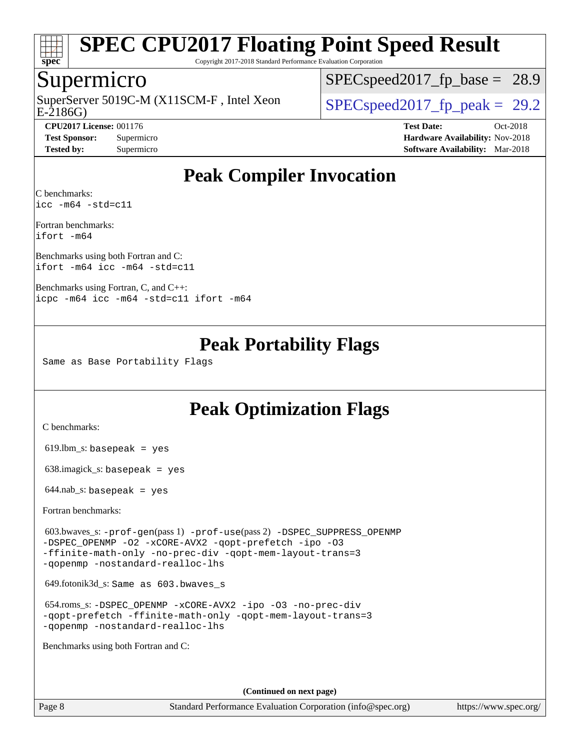

Copyright 2017-2018 Standard Performance Evaluation Corporation

#### Supermicro

E-2186G) SuperServer 5019C-M (X11SCM-F, Intel Xeon  $SPEC speed2017$  fp\_peak = 29.2

 $SPECspeed2017_fp\_base = 28.9$ 

**[CPU2017 License:](http://www.spec.org/auto/cpu2017/Docs/result-fields.html#CPU2017License)** 001176 **[Test Date:](http://www.spec.org/auto/cpu2017/Docs/result-fields.html#TestDate)** Oct-2018 **[Test Sponsor:](http://www.spec.org/auto/cpu2017/Docs/result-fields.html#TestSponsor)** Supermicro **[Hardware Availability:](http://www.spec.org/auto/cpu2017/Docs/result-fields.html#HardwareAvailability)** Nov-2018 **[Tested by:](http://www.spec.org/auto/cpu2017/Docs/result-fields.html#Testedby)** Supermicro **[Software Availability:](http://www.spec.org/auto/cpu2017/Docs/result-fields.html#SoftwareAvailability)** Mar-2018

## **[Peak Compiler Invocation](http://www.spec.org/auto/cpu2017/Docs/result-fields.html#PeakCompilerInvocation)**

[C benchmarks](http://www.spec.org/auto/cpu2017/Docs/result-fields.html#Cbenchmarks): [icc -m64 -std=c11](http://www.spec.org/cpu2017/results/res2018q4/cpu2017-20181112-09602.flags.html#user_CCpeak_intel_icc_64bit_c11_33ee0cdaae7deeeab2a9725423ba97205ce30f63b9926c2519791662299b76a0318f32ddfffdc46587804de3178b4f9328c46fa7c2b0cd779d7a61945c91cd35)

[Fortran benchmarks:](http://www.spec.org/auto/cpu2017/Docs/result-fields.html#Fortranbenchmarks) [ifort -m64](http://www.spec.org/cpu2017/results/res2018q4/cpu2017-20181112-09602.flags.html#user_FCpeak_intel_ifort_64bit_24f2bb282fbaeffd6157abe4f878425411749daecae9a33200eee2bee2fe76f3b89351d69a8130dd5949958ce389cf37ff59a95e7a40d588e8d3a57e0c3fd751)

[Benchmarks using both Fortran and C](http://www.spec.org/auto/cpu2017/Docs/result-fields.html#BenchmarksusingbothFortranandC): [ifort -m64](http://www.spec.org/cpu2017/results/res2018q4/cpu2017-20181112-09602.flags.html#user_CC_FCpeak_intel_ifort_64bit_24f2bb282fbaeffd6157abe4f878425411749daecae9a33200eee2bee2fe76f3b89351d69a8130dd5949958ce389cf37ff59a95e7a40d588e8d3a57e0c3fd751) [icc -m64 -std=c11](http://www.spec.org/cpu2017/results/res2018q4/cpu2017-20181112-09602.flags.html#user_CC_FCpeak_intel_icc_64bit_c11_33ee0cdaae7deeeab2a9725423ba97205ce30f63b9926c2519791662299b76a0318f32ddfffdc46587804de3178b4f9328c46fa7c2b0cd779d7a61945c91cd35)

[Benchmarks using Fortran, C, and C++](http://www.spec.org/auto/cpu2017/Docs/result-fields.html#BenchmarksusingFortranCandCXX): [icpc -m64](http://www.spec.org/cpu2017/results/res2018q4/cpu2017-20181112-09602.flags.html#user_CC_CXX_FCpeak_intel_icpc_64bit_4ecb2543ae3f1412ef961e0650ca070fec7b7afdcd6ed48761b84423119d1bf6bdf5cad15b44d48e7256388bc77273b966e5eb805aefd121eb22e9299b2ec9d9) [icc -m64 -std=c11](http://www.spec.org/cpu2017/results/res2018q4/cpu2017-20181112-09602.flags.html#user_CC_CXX_FCpeak_intel_icc_64bit_c11_33ee0cdaae7deeeab2a9725423ba97205ce30f63b9926c2519791662299b76a0318f32ddfffdc46587804de3178b4f9328c46fa7c2b0cd779d7a61945c91cd35) [ifort -m64](http://www.spec.org/cpu2017/results/res2018q4/cpu2017-20181112-09602.flags.html#user_CC_CXX_FCpeak_intel_ifort_64bit_24f2bb282fbaeffd6157abe4f878425411749daecae9a33200eee2bee2fe76f3b89351d69a8130dd5949958ce389cf37ff59a95e7a40d588e8d3a57e0c3fd751)

### **[Peak Portability Flags](http://www.spec.org/auto/cpu2017/Docs/result-fields.html#PeakPortabilityFlags)**

Same as Base Portability Flags

### **[Peak Optimization Flags](http://www.spec.org/auto/cpu2017/Docs/result-fields.html#PeakOptimizationFlags)**

[C benchmarks](http://www.spec.org/auto/cpu2017/Docs/result-fields.html#Cbenchmarks):

619.lbm\_s: basepeak = yes

638.imagick\_s: basepeak = yes

 $644$ .nab\_s: basepeak = yes

[Fortran benchmarks](http://www.spec.org/auto/cpu2017/Docs/result-fields.html#Fortranbenchmarks):

 603.bwaves\_s: [-prof-gen](http://www.spec.org/cpu2017/results/res2018q4/cpu2017-20181112-09602.flags.html#user_peakPASS1_FFLAGSPASS1_LDFLAGS603_bwaves_s_prof_gen_5aa4926d6013ddb2a31985c654b3eb18169fc0c6952a63635c234f711e6e63dd76e94ad52365559451ec499a2cdb89e4dc58ba4c67ef54ca681ffbe1461d6b36)(pass 1) [-prof-use](http://www.spec.org/cpu2017/results/res2018q4/cpu2017-20181112-09602.flags.html#user_peakPASS2_FFLAGSPASS2_LDFLAGS603_bwaves_s_prof_use_1a21ceae95f36a2b53c25747139a6c16ca95bd9def2a207b4f0849963b97e94f5260e30a0c64f4bb623698870e679ca08317ef8150905d41bd88c6f78df73f19)(pass 2) [-DSPEC\\_SUPPRESS\\_OPENMP](http://www.spec.org/cpu2017/results/res2018q4/cpu2017-20181112-09602.flags.html#suite_peakPASS1_FOPTIMIZE603_bwaves_s_DSPEC_SUPPRESS_OPENMP) [-DSPEC\\_OPENMP](http://www.spec.org/cpu2017/results/res2018q4/cpu2017-20181112-09602.flags.html#suite_peakPASS2_FOPTIMIZE603_bwaves_s_DSPEC_OPENMP) [-O2](http://www.spec.org/cpu2017/results/res2018q4/cpu2017-20181112-09602.flags.html#user_peakPASS1_FOPTIMIZE603_bwaves_s_f-O2) [-xCORE-AVX2](http://www.spec.org/cpu2017/results/res2018q4/cpu2017-20181112-09602.flags.html#user_peakPASS2_FOPTIMIZE603_bwaves_s_f-xCORE-AVX2) [-qopt-prefetch](http://www.spec.org/cpu2017/results/res2018q4/cpu2017-20181112-09602.flags.html#user_peakPASS1_FOPTIMIZEPASS2_FOPTIMIZE603_bwaves_s_f-qopt-prefetch) [-ipo](http://www.spec.org/cpu2017/results/res2018q4/cpu2017-20181112-09602.flags.html#user_peakPASS2_FOPTIMIZE603_bwaves_s_f-ipo) [-O3](http://www.spec.org/cpu2017/results/res2018q4/cpu2017-20181112-09602.flags.html#user_peakPASS2_FOPTIMIZE603_bwaves_s_f-O3) [-ffinite-math-only](http://www.spec.org/cpu2017/results/res2018q4/cpu2017-20181112-09602.flags.html#user_peakPASS1_FOPTIMIZEPASS2_FOPTIMIZE603_bwaves_s_f_finite_math_only_cb91587bd2077682c4b38af759c288ed7c732db004271a9512da14a4f8007909a5f1427ecbf1a0fb78ff2a814402c6114ac565ca162485bbcae155b5e4258871) [-no-prec-div](http://www.spec.org/cpu2017/results/res2018q4/cpu2017-20181112-09602.flags.html#user_peakPASS2_FOPTIMIZE603_bwaves_s_f-no-prec-div) [-qopt-mem-layout-trans=3](http://www.spec.org/cpu2017/results/res2018q4/cpu2017-20181112-09602.flags.html#user_peakPASS1_FOPTIMIZEPASS2_FOPTIMIZE603_bwaves_s_f-qopt-mem-layout-trans_de80db37974c74b1f0e20d883f0b675c88c3b01e9d123adea9b28688d64333345fb62bc4a798493513fdb68f60282f9a726aa07f478b2f7113531aecce732043) [-qopenmp](http://www.spec.org/cpu2017/results/res2018q4/cpu2017-20181112-09602.flags.html#user_peakPASS2_FOPTIMIZE603_bwaves_s_qopenmp_16be0c44f24f464004c6784a7acb94aca937f053568ce72f94b139a11c7c168634a55f6653758ddd83bcf7b8463e8028bb0b48b77bcddc6b78d5d95bb1df2967) [-nostandard-realloc-lhs](http://www.spec.org/cpu2017/results/res2018q4/cpu2017-20181112-09602.flags.html#user_peakEXTRA_FOPTIMIZE603_bwaves_s_f_2003_std_realloc_82b4557e90729c0f113870c07e44d33d6f5a304b4f63d4c15d2d0f1fab99f5daaed73bdb9275d9ae411527f28b936061aa8b9c8f2d63842963b95c9dd6426b8a)

649.fotonik3d\_s: Same as 603.bwaves\_s

 654.roms\_s: [-DSPEC\\_OPENMP](http://www.spec.org/cpu2017/results/res2018q4/cpu2017-20181112-09602.flags.html#suite_peakFOPTIMIZE654_roms_s_DSPEC_OPENMP) [-xCORE-AVX2](http://www.spec.org/cpu2017/results/res2018q4/cpu2017-20181112-09602.flags.html#user_peakFOPTIMIZE654_roms_s_f-xCORE-AVX2) [-ipo](http://www.spec.org/cpu2017/results/res2018q4/cpu2017-20181112-09602.flags.html#user_peakFOPTIMIZE654_roms_s_f-ipo) [-O3](http://www.spec.org/cpu2017/results/res2018q4/cpu2017-20181112-09602.flags.html#user_peakFOPTIMIZE654_roms_s_f-O3) [-no-prec-div](http://www.spec.org/cpu2017/results/res2018q4/cpu2017-20181112-09602.flags.html#user_peakFOPTIMIZE654_roms_s_f-no-prec-div) [-qopt-prefetch](http://www.spec.org/cpu2017/results/res2018q4/cpu2017-20181112-09602.flags.html#user_peakFOPTIMIZE654_roms_s_f-qopt-prefetch) [-ffinite-math-only](http://www.spec.org/cpu2017/results/res2018q4/cpu2017-20181112-09602.flags.html#user_peakFOPTIMIZE654_roms_s_f_finite_math_only_cb91587bd2077682c4b38af759c288ed7c732db004271a9512da14a4f8007909a5f1427ecbf1a0fb78ff2a814402c6114ac565ca162485bbcae155b5e4258871) [-qopt-mem-layout-trans=3](http://www.spec.org/cpu2017/results/res2018q4/cpu2017-20181112-09602.flags.html#user_peakFOPTIMIZE654_roms_s_f-qopt-mem-layout-trans_de80db37974c74b1f0e20d883f0b675c88c3b01e9d123adea9b28688d64333345fb62bc4a798493513fdb68f60282f9a726aa07f478b2f7113531aecce732043) [-qopenmp](http://www.spec.org/cpu2017/results/res2018q4/cpu2017-20181112-09602.flags.html#user_peakFOPTIMIZE654_roms_s_qopenmp_16be0c44f24f464004c6784a7acb94aca937f053568ce72f94b139a11c7c168634a55f6653758ddd83bcf7b8463e8028bb0b48b77bcddc6b78d5d95bb1df2967) [-nostandard-realloc-lhs](http://www.spec.org/cpu2017/results/res2018q4/cpu2017-20181112-09602.flags.html#user_peakEXTRA_FOPTIMIZE654_roms_s_f_2003_std_realloc_82b4557e90729c0f113870c07e44d33d6f5a304b4f63d4c15d2d0f1fab99f5daaed73bdb9275d9ae411527f28b936061aa8b9c8f2d63842963b95c9dd6426b8a)

[Benchmarks using both Fortran and C](http://www.spec.org/auto/cpu2017/Docs/result-fields.html#BenchmarksusingbothFortranandC):

**(Continued on next page)**